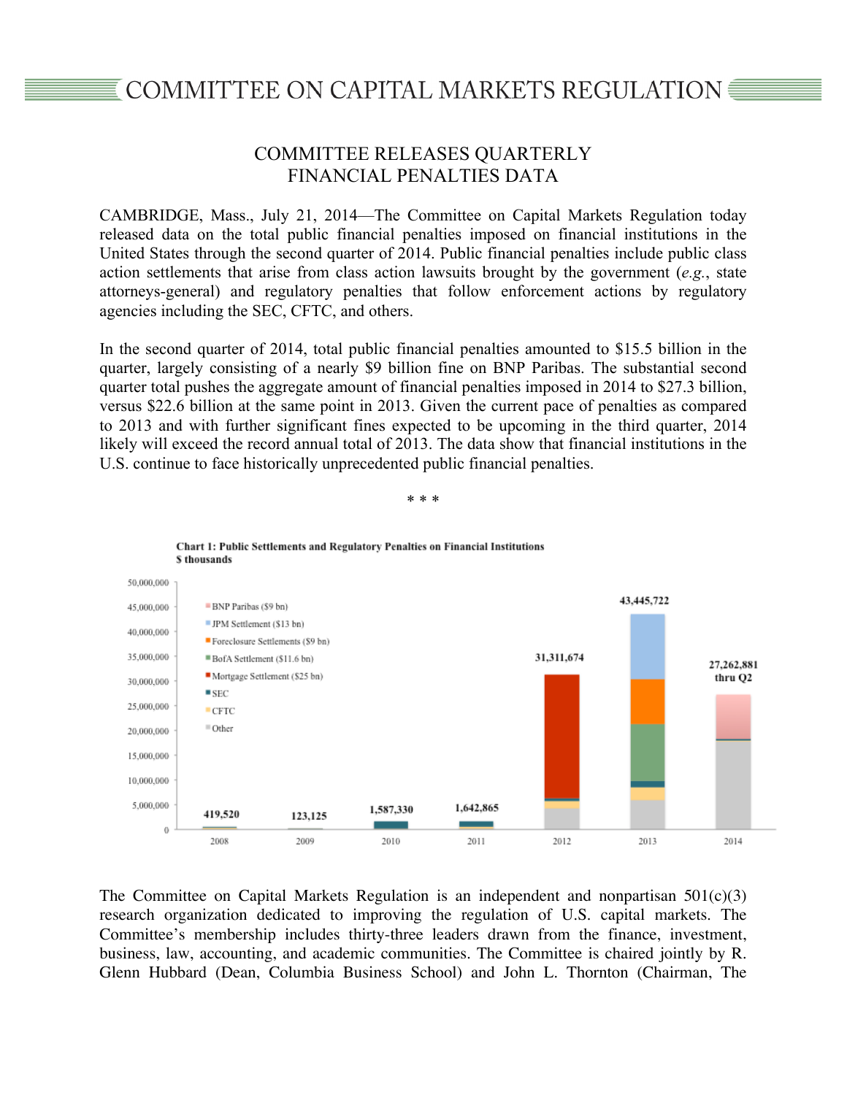## COMMITTEE ON CAPITAL MARKETS REGULATION ■

## COMMITTEE RELEASES QUARTERLY FINANCIAL PENALTIES DATA

CAMBRIDGE, Mass., July 21, 2014—The Committee on Capital Markets Regulation today released data on the total public financial penalties imposed on financial institutions in the United States through the second quarter of 2014. Public financial penalties include public class action settlements that arise from class action lawsuits brought by the government (*e.g.*, state attorneys-general) and regulatory penalties that follow enforcement actions by regulatory agencies including the SEC, CFTC, and others.

In the second quarter of 2014, total public financial penalties amounted to \$15.5 billion in the quarter, largely consisting of a nearly \$9 billion fine on BNP Paribas. The substantial second quarter total pushes the aggregate amount of financial penalties imposed in 2014 to \$27.3 billion, versus \$22.6 billion at the same point in 2013. Given the current pace of penalties as compared to 2013 and with further significant fines expected to be upcoming in the third quarter, 2014 likely will exceed the record annual total of 2013. The data show that financial institutions in the U.S. continue to face historically unprecedented public financial penalties.

\* \* \*



The Committee on Capital Markets Regulation is an independent and nonpartisan  $501(c)(3)$ research organization dedicated to improving the regulation of U.S. capital markets. The Committee's membership includes thirty-three leaders drawn from the finance, investment, business, law, accounting, and academic communities. The Committee is chaired jointly by R. Glenn Hubbard (Dean, Columbia Business School) and John L. Thornton (Chairman, The